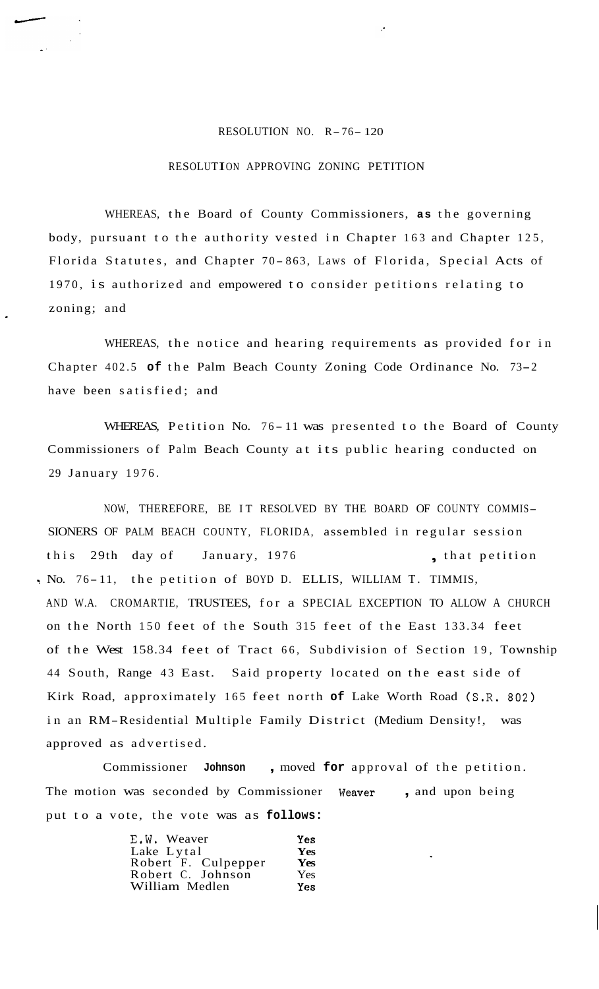## RESOLUTION NO. R-76- 120

## RESOLUTION APPROVING ZONING PETITION

WHEREAS, the Board of County Commissioners, **as** the governing body, pursuant to the authority vested in Chapter 163 and Chapter 125, Florida Statutes, and Chapter 70-863, Laws of Florida, Special Acts of 1970, is authorized and empowered to consider petitions relating to zoning; and

WHEREAS, the notice and hearing requirements as provided for in Chapter 402.5 **of** the Palm Beach County Zoning Code Ordinance No. 73-2 have been satisfied; and

WHEREAS, Petition No. 76-11 was presented to the Board of County Commissioners of Palm Beach County at its public hearing conducted on 29 January 1976.

NOW, THEREFORE, BE IT RESOLVED BY THE BOARD OF COUNTY COMMIS-SIONERS OF PALM BEACH COUNTY, FLORIDA, assembled in regular session this 29th day of January, 1976 , that petition . No. 76-11, the petition of BOYD D. ELLIS, WILLIAM T. TIMMIS, AND W.A. CROMARTIE, TRUSTEES, for a SPECIAL EXCEPTION TO ALLOW A CHURCH on the North 150 feet of the South 315 feet of the East 133.34 feet of the West 158.34 feet of Tract 66, Subdivision of Section 19, Township 44 South, Range 43 East. Said property located on the east side of Kirk Road, approximately 165 feet north **of** Lake Worth Road (S.R. 802) in an RM-Residential Multiple Family District (Medium Density!, was approved as advertised.

Commissioner **Johnson** , moved **for** approval of the petition. The motion was seconded by Commissioner **Weaver** , and upon being put to a vote, the vote was as **follows:** 

| E.W. Weaver         | <b>Yes</b> |
|---------------------|------------|
| Lake Lytal          | <b>Yes</b> |
| Robert F. Culpepper | Yes        |
| Robert C. Johnson   | Yes.       |
| William Medlen      | <b>Yes</b> |